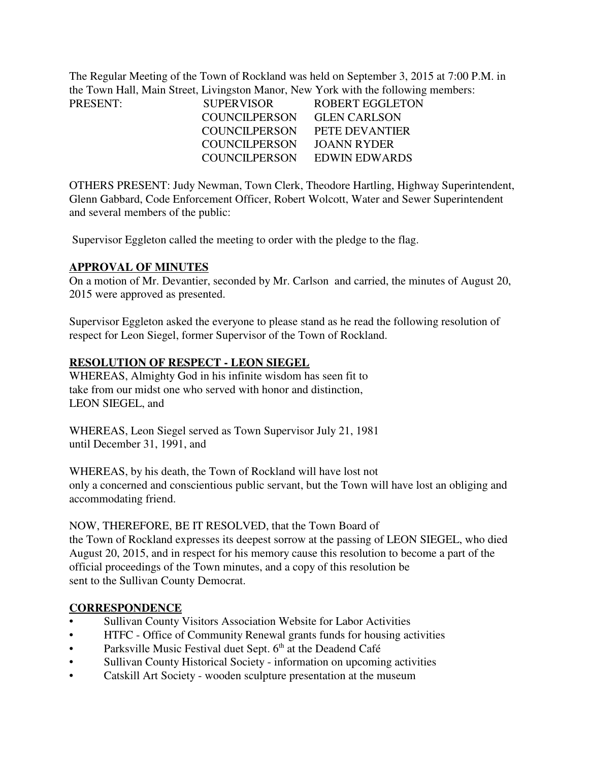The Regular Meeting of the Town of Rockland was held on September 3, 2015 at 7:00 P.M. in the Town Hall, Main Street, Livingston Manor, New York with the following members: PRESENT:

| PRESENT: | <b>SUPERVISOR</b> | ROBERT EGGLETON     |
|----------|-------------------|---------------------|
|          | COUNCILPERSON     | <b>GLEN CARLSON</b> |
|          | COUNCILPERSON     | PETE DEVANTIER      |
|          | COUNCILPERSON     | JOANN RYDER         |
|          | COUNCILPERSON     | EDWIN EDWARDS       |

OTHERS PRESENT: Judy Newman, Town Clerk, Theodore Hartling, Highway Superintendent, Glenn Gabbard, Code Enforcement Officer, Robert Wolcott, Water and Sewer Superintendent and several members of the public:

Supervisor Eggleton called the meeting to order with the pledge to the flag.

#### **APPROVAL OF MINUTES**

On a motion of Mr. Devantier, seconded by Mr. Carlson and carried, the minutes of August 20, 2015 were approved as presented.

Supervisor Eggleton asked the everyone to please stand as he read the following resolution of respect for Leon Siegel, former Supervisor of the Town of Rockland.

#### **RESOLUTION OF RESPECT - LEON SIEGEL**

WHEREAS, Almighty God in his infinite wisdom has seen fit to take from our midst one who served with honor and distinction, LEON SIEGEL, and

WHEREAS, Leon Siegel served as Town Supervisor July 21, 1981 until December 31, 1991, and

WHEREAS, by his death, the Town of Rockland will have lost not only a concerned and conscientious public servant, but the Town will have lost an obliging and accommodating friend.

#### NOW, THEREFORE, BE IT RESOLVED, that the Town Board of

the Town of Rockland expresses its deepest sorrow at the passing of LEON SIEGEL, who died August 20, 2015, and in respect for his memory cause this resolution to become a part of the official proceedings of the Town minutes, and a copy of this resolution be sent to the Sullivan County Democrat.

### **CORRESPONDENCE**

- Sullivan County Visitors Association Website for Labor Activities
- HTFC Office of Community Renewal grants funds for housing activities
- Parksville Music Festival duet Sept. 6<sup>th</sup> at the Deadend Café
- Sullivan County Historical Society information on upcoming activities
- Catskill Art Society wooden sculpture presentation at the museum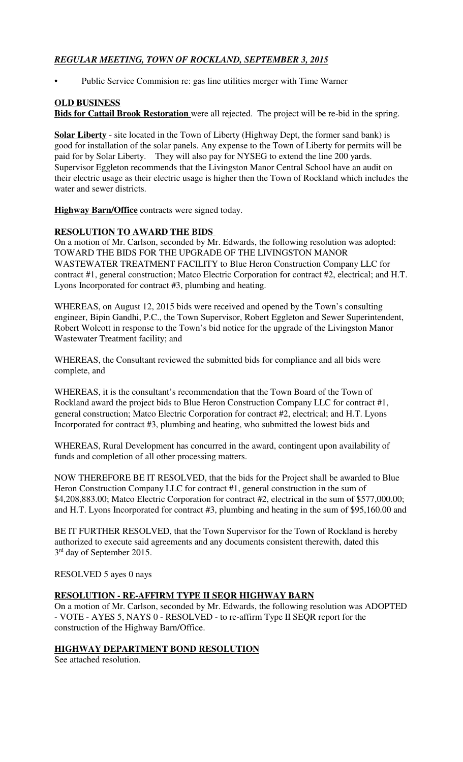# *REGULAR MEETING, TOWN OF ROCKLAND, SEPTEMBER 3, 2015*

• Public Service Commision re: gas line utilities merger with Time Warner

## **OLD BUSINESS**

**Bids for Cattail Brook Restoration** were all rejected. The project will be re-bid in the spring.

**Solar Liberty** - site located in the Town of Liberty (Highway Dept, the former sand bank) is good for installation of the solar panels. Any expense to the Town of Liberty for permits will be paid for by Solar Liberty. They will also pay for NYSEG to extend the line 200 yards. Supervisor Eggleton recommends that the Livingston Manor Central School have an audit on their electric usage as their electric usage is higher then the Town of Rockland which includes the water and sewer districts.

**Highway Barn/Office** contracts were signed today.

### **RESOLUTION TO AWARD THE BIDS**

On a motion of Mr. Carlson, seconded by Mr. Edwards, the following resolution was adopted: TOWARD THE BIDS FOR THE UPGRADE OF THE LIVINGSTON MANOR WASTEWATER TREATMENT FACILITY to Blue Heron Construction Company LLC for contract #1, general construction; Matco Electric Corporation for contract #2, electrical; and H.T. Lyons Incorporated for contract #3, plumbing and heating.

WHEREAS, on August 12, 2015 bids were received and opened by the Town's consulting engineer, Bipin Gandhi, P.C., the Town Supervisor, Robert Eggleton and Sewer Superintendent, Robert Wolcott in response to the Town's bid notice for the upgrade of the Livingston Manor Wastewater Treatment facility; and

WHEREAS, the Consultant reviewed the submitted bids for compliance and all bids were complete, and

WHEREAS, it is the consultant's recommendation that the Town Board of the Town of Rockland award the project bids to Blue Heron Construction Company LLC for contract #1, general construction; Matco Electric Corporation for contract #2, electrical; and H.T. Lyons Incorporated for contract #3, plumbing and heating, who submitted the lowest bids and

WHEREAS, Rural Development has concurred in the award, contingent upon availability of funds and completion of all other processing matters.

NOW THEREFORE BE IT RESOLVED, that the bids for the Project shall be awarded to Blue Heron Construction Company LLC for contract #1, general construction in the sum of \$4,208,883.00; Matco Electric Corporation for contract #2, electrical in the sum of \$577,000.00; and H.T. Lyons Incorporated for contract #3, plumbing and heating in the sum of \$95,160.00 and

BE IT FURTHER RESOLVED, that the Town Supervisor for the Town of Rockland is hereby authorized to execute said agreements and any documents consistent therewith, dated this 3<sup>rd</sup> day of September 2015.

#### RESOLVED 5 ayes 0 nays

#### **RESOLUTION - RE-AFFIRM TYPE II SEQR HIGHWAY BARN**

On a motion of Mr. Carlson, seconded by Mr. Edwards, the following resolution was ADOPTED - VOTE - AYES 5, NAYS 0 - RESOLVED - to re-affirm Type II SEQR report for the construction of the Highway Barn/Office.

### **HIGHWAY DEPARTMENT BOND RESOLUTION**

See attached resolution.